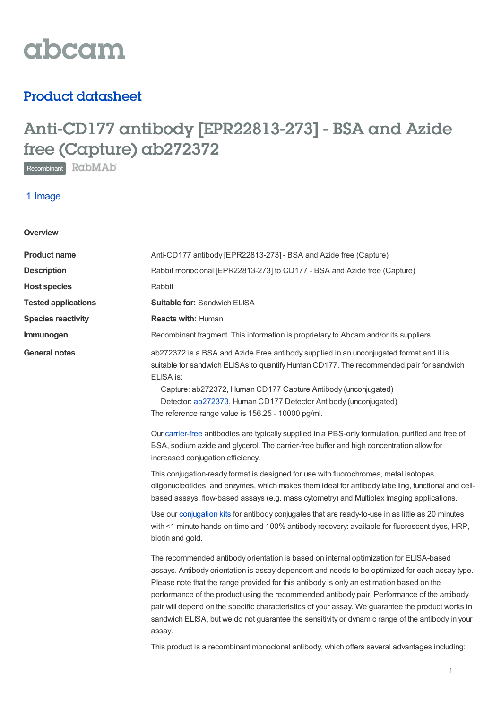

## Product datasheet

# Anti-CD177 antibody [EPR22813-273] - BSA and Azide free (Capture) ab272372

Recombinant RabMAb

### 1 Image

| Overview                   |                                                                                                                                                                                                                                                                                                                                                                                                                                                                                                                                                                                                                                                                                                         |
|----------------------------|---------------------------------------------------------------------------------------------------------------------------------------------------------------------------------------------------------------------------------------------------------------------------------------------------------------------------------------------------------------------------------------------------------------------------------------------------------------------------------------------------------------------------------------------------------------------------------------------------------------------------------------------------------------------------------------------------------|
| <b>Product name</b>        | Anti-CD177 antibody [EPR22813-273] - BSA and Azide free (Capture)                                                                                                                                                                                                                                                                                                                                                                                                                                                                                                                                                                                                                                       |
| <b>Description</b>         | Rabbit monoclonal [EPR22813-273] to CD177 - BSA and Azide free (Capture)                                                                                                                                                                                                                                                                                                                                                                                                                                                                                                                                                                                                                                |
| <b>Host species</b>        | Rabbit                                                                                                                                                                                                                                                                                                                                                                                                                                                                                                                                                                                                                                                                                                  |
| <b>Tested applications</b> | <b>Suitable for: Sandwich ELISA</b>                                                                                                                                                                                                                                                                                                                                                                                                                                                                                                                                                                                                                                                                     |
| <b>Species reactivity</b>  | <b>Reacts with: Human</b>                                                                                                                                                                                                                                                                                                                                                                                                                                                                                                                                                                                                                                                                               |
| Immunogen                  | Recombinant fragment. This information is proprietary to Abcam and/or its suppliers.                                                                                                                                                                                                                                                                                                                                                                                                                                                                                                                                                                                                                    |
| <b>General notes</b>       | ab272372 is a BSA and Azide Free antibody supplied in an unconjugated format and it is<br>suitable for sandwich ELISAs to quantify Human CD177. The recommended pair for sandwich<br>ELISA is:<br>Capture: ab272372, Human CD177 Capture Antibody (unconjugated)<br>Detector: ab272373, Human CD177 Detector Antibody (unconjugated)<br>The reference range value is 156.25 - 10000 pg/ml.                                                                                                                                                                                                                                                                                                              |
|                            | Our carrier-free antibodies are typically supplied in a PBS-only formulation, purified and free of<br>BSA, sodium azide and glycerol. The carrier-free buffer and high concentration allow for<br>increased conjugation efficiency.                                                                                                                                                                                                                                                                                                                                                                                                                                                                     |
|                            | This conjugation-ready format is designed for use with fluorochromes, metal isotopes,<br>oligonucleotides, and enzymes, which makes them ideal for antibody labelling, functional and cell-<br>based assays, flow-based assays (e.g. mass cytometry) and Multiplex Imaging applications.                                                                                                                                                                                                                                                                                                                                                                                                                |
|                            | Use our conjugation kits for antibody conjugates that are ready-to-use in as little as 20 minutes<br>with <1 minute hands-on-time and 100% antibody recovery: available for fluorescent dyes, HRP,<br>biotin and gold.                                                                                                                                                                                                                                                                                                                                                                                                                                                                                  |
|                            | The recommended antibody orientation is based on internal optimization for ELISA-based<br>assays. Antibody orientation is assay dependent and needs to be optimized for each assay type.<br>Please note that the range provided for this antibody is only an estimation based on the<br>performance of the product using the recommended antibody pair. Performance of the antibody<br>pair will depend on the specific characteristics of your assay. We guarantee the product works in<br>sandwich ELISA, but we do not guarantee the sensitivity or dynamic range of the antibody in your<br>assay.<br>This product is a recombinant monoclonal antibody, which offers several advantages including: |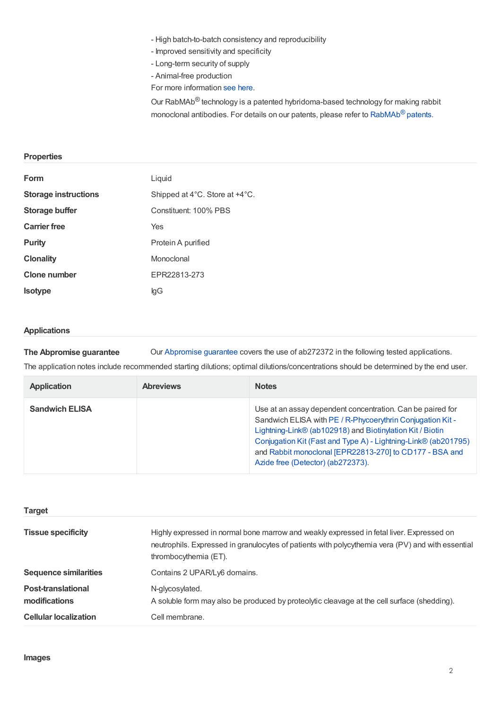- High batch-to-batch consistency and reproducibility

- Improved sensitivity and specificity
- Long-term security of supply
- Animal-free production

For more information see [here](/primary-antibodies/recombinant-antibodies).

Our RabMAb<sup>®</sup> technology is a patented hybridoma-based technology for making rabbit monoclonal antibodies. For details on our patents, please refer to  $\mathsf{RabMAb}^{\circledR}$  $\mathsf{RabMAb}^{\circledR}$  $\mathsf{RabMAb}^{\circledR}$  patents.

#### **Properties**

| Form                        | Liquid                         |
|-----------------------------|--------------------------------|
| <b>Storage instructions</b> | Shipped at 4°C. Store at +4°C. |
| <b>Storage buffer</b>       | Constituent: 100% PBS          |
| <b>Carrier free</b>         | Yes                            |
| <b>Purity</b>               | Protein A purified             |
| <b>Clonality</b>            | Monoclonal                     |
| <b>Clone number</b>         | EPR22813-273                   |
| <b>Isotype</b>              | lgG                            |

#### **Applications**

**The Abpromise guarantee** Our [Abpromise](https://www.abcam.com/abpromise) guarantee covers the use of ab272372 in the following tested applications.

The application notes include recommended starting dilutions; optimal dilutions/concentrations should be determined by the end user.

| <b>Application</b>    | <b>Abreviews</b> | <b>Notes</b>                                                                                                                                                                                                                                                                                                                                            |
|-----------------------|------------------|---------------------------------------------------------------------------------------------------------------------------------------------------------------------------------------------------------------------------------------------------------------------------------------------------------------------------------------------------------|
| <b>Sandwich ELISA</b> |                  | Use at an assay dependent concentration. Can be paired for<br>Sandwich ELISA with PE / R-Phycoerythrin Conjugation Kit -<br>Lightning-Link® (ab102918) and Biotinylation Kit / Biotin<br>Conjugation Kit (Fast and Type A) - Lightning-Link® (ab201795)<br>and Rabbit monoclonal [EPR22813-270] to CD177 - BSA and<br>Azide free (Detector) (ab272373). |

| <b>Target</b>                              |                                                                                                                                                                                                                        |
|--------------------------------------------|------------------------------------------------------------------------------------------------------------------------------------------------------------------------------------------------------------------------|
| <b>Tissue specificity</b>                  | Highly expressed in normal bone marrow and weakly expressed in fetal liver. Expressed on<br>neutrophils. Expressed in granulocytes of patients with polycythemia vera (PV) and with essential<br>thrombocythemia (ET). |
| <b>Sequence similarities</b>               | Contains 2 UPAR/Ly6 domains.                                                                                                                                                                                           |
| <b>Post-translational</b><br>modifications | N-glycosylated.<br>A soluble form may also be produced by proteolytic cleavage at the cell surface (shedding).                                                                                                         |
| <b>Cellular localization</b>               | Cell membrane.                                                                                                                                                                                                         |